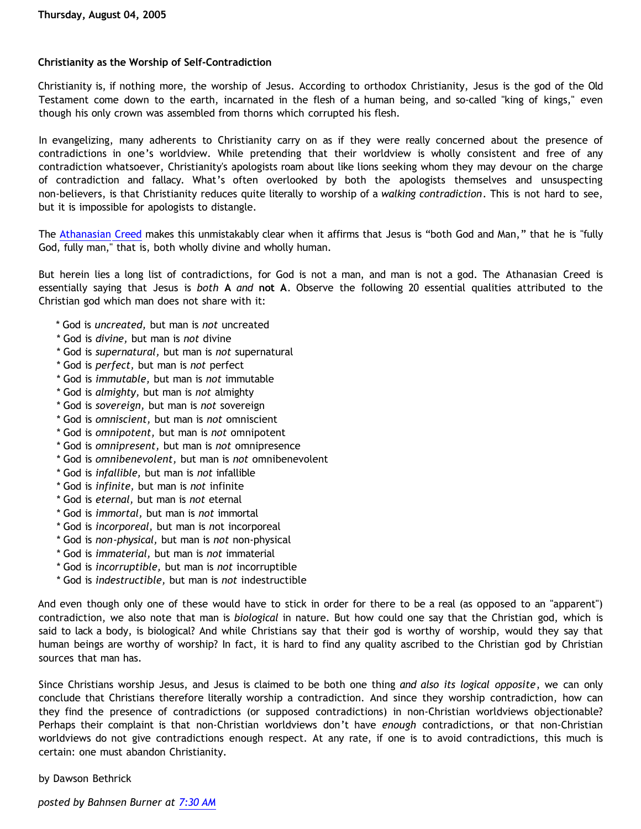# **Christianity as the Worship of Self-Contradiction**

Christianity is, if nothing more, the worship of Jesus. According to orthodox Christianity, Jesus is the god of the Old Testament come down to the earth, incarnated in the flesh of a human being, and so-called "king of kings," even though his only crown was assembled from thorns which corrupted his flesh.

In evangelizing, many adherents to Christianity carry on as if they were really concerned about the presence of contradictions in one's worldview. While pretending that their worldview is wholly consistent and free of any contradiction whatsoever, Christianity's apologists roam about like lions seeking whom they may devour on the charge of contradiction and fallacy. What's often overlooked by both the apologists themselves and unsuspecting non-believers, is that Christianity reduces quite literally to worship of a *walking contradiction*. This is not hard to see, but it is impossible for apologists to distangle.

The [Athanasian Creed](http://www.jesus.org.uk/ja/ja_athanasiancreed.shtml) makes this unmistakably clear when it affirms that Jesus is "both God and Man," that he is "fully God, fully man," that is, both wholly divine and wholly human.

But herein lies a long list of contradictions, for God is not a man, and man is not a god. The Athanasian Creed is essentially saying that Jesus is *both* **A** *and* **not A**. Observe the following 20 essential qualities attributed to the Christian god which man does not share with it:

- \* God is *uncreated,* but man is *not* uncreated
- \* God is *divine,* but man is *not* divine
- \* God is *supernatural,* but man is *not* supernatural
- \* God is *perfect,* but man is *not* perfect
- \* God is *immutable,* but man is *not* immutable
- \* God is *almighty,* but man is *not* almighty
- \* God is *sovereign,* but man is *not* sovereign
- \* God is *omniscient,* but man is *not* omniscient
- \* God is *omnipotent,* but man is *not* omnipotent
- \* God is *omnipresent,* but man is *not* omnipresence
- \* God is *omnibenevolent,* but man is *not* omnibenevolent
- \* God is *infallible,* but man is *not* infallible
- \* God is *infinite,* but man is *not* infinite
- \* God is *eternal,* but man is *not* eternal
- \* God is *immortal,* but man is *not* immortal
- \* God is *incorporeal,* but man is *n*ot incorporeal
- \* God is *non*-*physical,* but man is *not* non-physical
- \* God is *immaterial,* but man is *not* immaterial
- \* God is *incorruptible,* but man is *not* incorruptible
- \* God is *indestructible,* but man is *not* indestructible

And even though only one of these would have to stick in order for there to be a real (as opposed to an "apparent") contradiction, we also note that man is *biological* in nature. But how could one say that the Christian god, which is said to lack a body, is biological? And while Christians say that their god is worthy of worship, would they say that human beings are worthy of worship? In fact, it is hard to find any quality ascribed to the Christian god by Christian sources that man has.

Since Christians worship Jesus, and Jesus is claimed to be both one thing *and also its logical opposite*, we can only conclude that Christians therefore literally worship a contradiction. And since they worship contradiction, how can they find the presence of contradictions (or supposed contradictions) in non-Christian worldviews objectionable? Perhaps their complaint is that non-Christian worldviews don't have *enough* contradictions, or that non-Christian worldviews do not give contradictions enough respect. At any rate, if one is to avoid contradictions, this much is certain: one must abandon Christianity.

by Dawson Bethrick

*posted by Bahnsen Burner at [7:30 AM](http://bahnsenburner.blogspot.com/2005/08/christianity-as-worship-of-self.html)*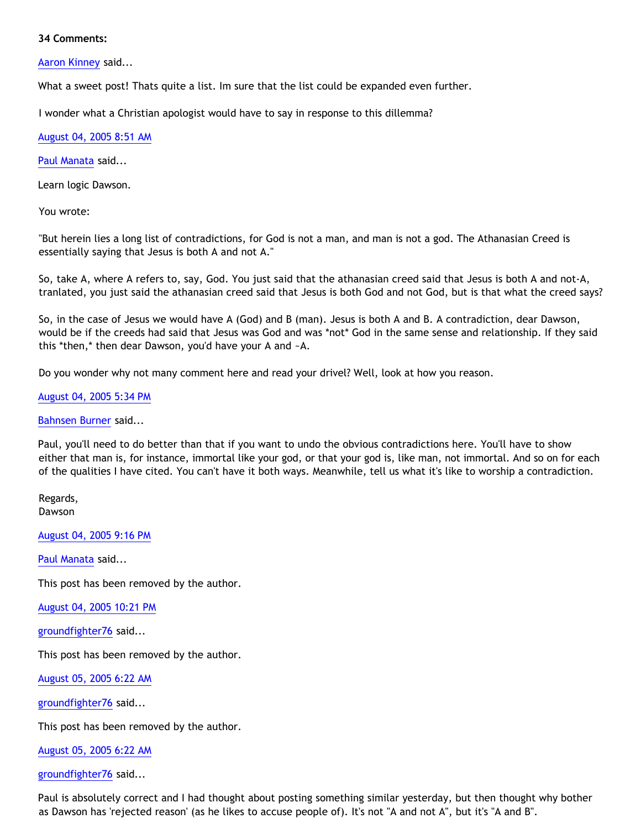#### **34 Comments:**

[Aaron Kinney](http://www.blogger.com/profile/8138664) said...

What a sweet post! Thats quite a list. Im sure that the list could be expanded even further.

I wonder what a Christian apologist would have to say in response to this dillemma?

[August 04, 2005 8:51 AM](http://bahnsenburner.blogspot.com/2005/08/112317070458084026)

[Paul Manata](http://www.blogger.com/profile/7464842) said...

Learn logic Dawson.

You wrote:

"But herein lies a long list of contradictions, for God is not a man, and man is not a god. The Athanasian Creed is essentially saying that Jesus is both A and not A."

So, take A, where A refers to, say, God. You just said that the athanasian creed said that Jesus is both A and not-A, tranlated, you just said the athanasian creed said that Jesus is both God and not God, but is that what the creed says?

So, in the case of Jesus we would have A (God) and B (man). Jesus is both A and B. A contradiction, dear Dawson, would be if the creeds had said that Jesus was God and was \*not\* God in the same sense and relationship. If they said this \*then,\* then dear Dawson, you'd have your A and ~A.

Do you wonder why not many comment here and read your drivel? Well, look at how you reason.

# [August 04, 2005 5:34 PM](http://bahnsenburner.blogspot.com/2005/08/112320206775247232)

[Bahnsen Burner](http://www.blogger.com/profile/7766918) said...

Paul, you'll need to do better than that if you want to undo the obvious contradictions here. You'll have to show either that man is, for instance, immortal like your god, or that your god is, like man, not immortal. And so on for each of the qualities I have cited. You can't have it both ways. Meanwhile, tell us what it's like to worship a contradiction.

Regards, Dawson

[August 04, 2005 9:16 PM](http://bahnsenburner.blogspot.com/2005/08/112321539674606396)

[Paul Manata](http://www.blogger.com/profile/7464842) said...

This post has been removed by the author.

[August 04, 2005 10:21 PM](http://bahnsenburner.blogspot.com/2005/08/112321927773657749)

[groundfighter76](http://www.blogger.com/profile/8210797) said...

This post has been removed by the author.

[August 05, 2005 6:22 AM](http://bahnsenburner.blogspot.com/2005/08/112324813320697619)

[groundfighter76](http://www.blogger.com/profile/8210797) said...

This post has been removed by the author.

[August 05, 2005 6:22 AM](http://bahnsenburner.blogspot.com/2005/08/112324817502887384)

[groundfighter76](http://www.blogger.com/profile/8210797) said...

Paul is absolutely correct and I had thought about posting something similar yesterday, but then thought why bother as Dawson has 'rejected reason' (as he likes to accuse people of). It's not "A and not A", but it's "A and B".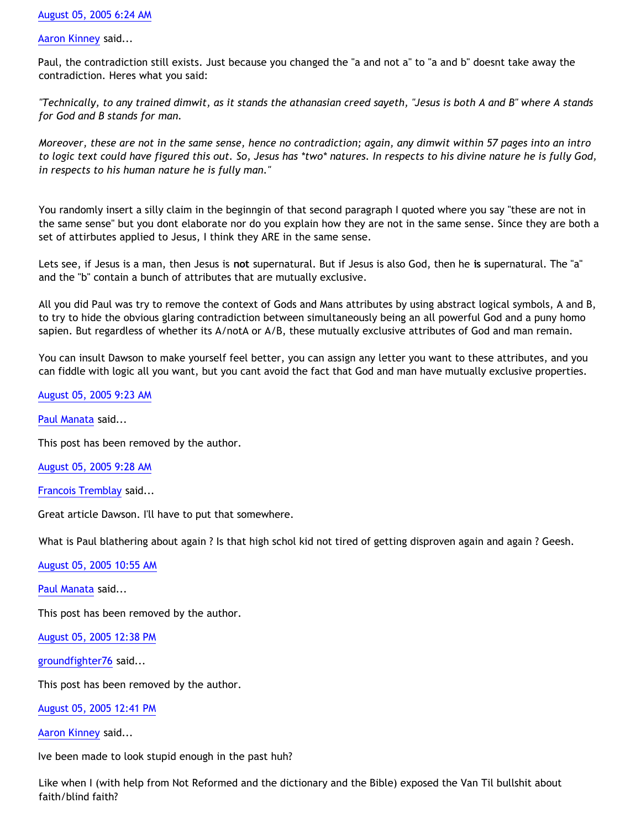[Aaron Kinney](http://www.blogger.com/profile/8138664) said...

Paul, the contradiction still exists. Just because you changed the "a and not a" to "a and b" doesnt take away the contradiction. Heres what you said:

*"Technically, to any trained dimwit, as it stands the athanasian creed sayeth, "Jesus is both A and B" where A stands for God and B stands for man.*

*Moreover, these are not in the same sense, hence no contradiction; again, any dimwit within 57 pages into an intro to logic text could have figured this out. So, Jesus has \*two\* natures. In respects to his divine nature he is fully God, in respects to his human nature he is fully man."*

You randomly insert a silly claim in the beginngin of that second paragraph I quoted where you say "these are not in the same sense" but you dont elaborate nor do you explain how they are not in the same sense. Since they are both a set of attirbutes applied to Jesus, I think they ARE in the same sense.

Lets see, if Jesus is a man, then Jesus is **not** supernatural. But if Jesus is also God, then he **is** supernatural. The "a" and the "b" contain a bunch of attributes that are mutually exclusive.

All you did Paul was try to remove the context of Gods and Mans attributes by using abstract logical symbols, A and B, to try to hide the obvious glaring contradiction between simultaneously being an all powerful God and a puny homo sapien. But regardless of whether its A/notA or A/B, these mutually exclusive attributes of God and man remain.

You can insult Dawson to make yourself feel better, you can assign any letter you want to these attributes, and you can fiddle with logic all you want, but you cant avoid the fact that God and man have mutually exclusive properties.

[August 05, 2005 9:23 AM](http://bahnsenburner.blogspot.com/2005/08/112325902992687562)

[Paul Manata](http://www.blogger.com/profile/7464842) said...

This post has been removed by the author.

[August 05, 2005 9:28 AM](http://bahnsenburner.blogspot.com/2005/08/112325930798232637)

[Francois Tremblay](http://www.blogger.com/profile/7715861) said...

Great article Dawson. I'll have to put that somewhere.

What is Paul blathering about again ? Is that high schol kid not tired of getting disproven again and again ? Geesh.

[August 05, 2005 10:55 AM](http://bahnsenburner.blogspot.com/2005/08/112326451955078865)

[Paul Manata](http://www.blogger.com/profile/7464842) said...

This post has been removed by the author.

[August 05, 2005 12:38 PM](http://bahnsenburner.blogspot.com/2005/08/112327071217980565)

[groundfighter76](http://www.blogger.com/profile/8210797) said...

This post has been removed by the author.

[August 05, 2005 12:41 PM](http://bahnsenburner.blogspot.com/2005/08/112327090371097382)

[Aaron Kinney](http://www.blogger.com/profile/8138664) said...

Ive been made to look stupid enough in the past huh?

Like when I (with help from Not Reformed and the dictionary and the Bible) exposed the Van Til bullshit about faith/blind faith?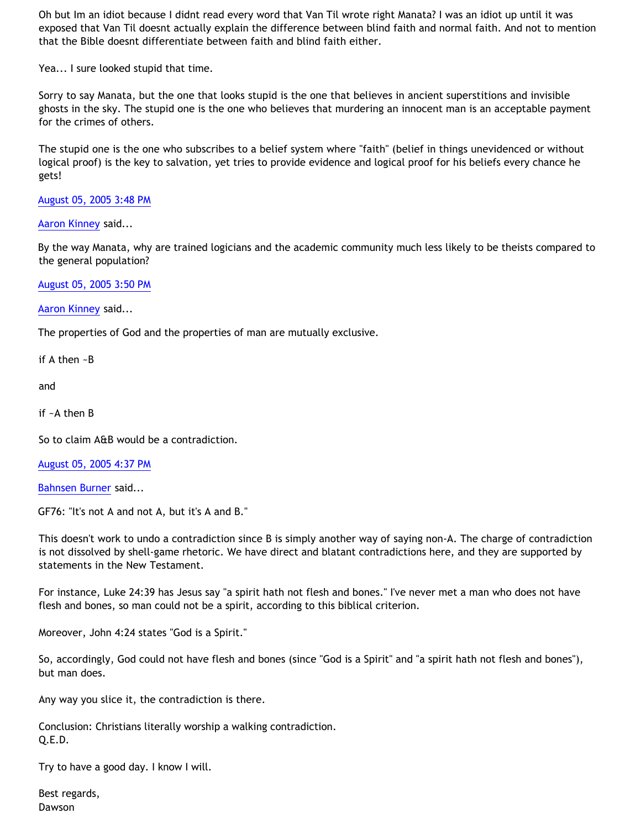Oh but Im an idiot because I didnt read every word that Van Til wrote right Manata? I was an idiot up until it was exposed that Van Til doesnt actually explain the difference between blind faith and normal faith. And not to mention that the Bible doesnt differentiate between faith and blind faith either.

Yea... I sure looked stupid that time.

Sorry to say Manata, but the one that looks stupid is the one that believes in ancient superstitions and invisible ghosts in the sky. The stupid one is the one who believes that murdering an innocent man is an acceptable payment for the crimes of others.

The stupid one is the one who subscribes to a belief system where "faith" (belief in things unevidenced or without logical proof) is the key to salvation, yet tries to provide evidence and logical proof for his beliefs every chance he gets!

[August 05, 2005 3:48 PM](http://bahnsenburner.blogspot.com/2005/08/112328213392699690)

[Aaron Kinney](http://www.blogger.com/profile/8138664) said...

By the way Manata, why are trained logicians and the academic community much less likely to be theists compared to the general population?

[August 05, 2005 3:50 PM](http://bahnsenburner.blogspot.com/2005/08/112328223331268163)

[Aaron Kinney](http://www.blogger.com/profile/8138664) said...

The properties of God and the properties of man are mutually exclusive.

if A then ~B

and

if ~A then B

So to claim A&B would be a contradiction.

[August 05, 2005 4:37 PM](http://bahnsenburner.blogspot.com/2005/08/112328504038847384)

[Bahnsen Burner](http://www.blogger.com/profile/7766918) said...

GF76: "It's not A and not A, but it's A and B."

This doesn't work to undo a contradiction since B is simply another way of saying non-A. The charge of contradiction is not dissolved by shell-game rhetoric. We have direct and blatant contradictions here, and they are supported by statements in the New Testament.

For instance, Luke 24:39 has Jesus say "a spirit hath not flesh and bones." I've never met a man who does not have flesh and bones, so man could not be a spirit, according to this biblical criterion.

Moreover, John 4:24 states "God is a Spirit."

So, accordingly, God could not have flesh and bones (since "God is a Spirit" and "a spirit hath not flesh and bones"), but man does.

Any way you slice it, the contradiction is there.

Conclusion: Christians literally worship a walking contradiction. Q.E.D.

Try to have a good day. I know I will.

Best regards, Dawson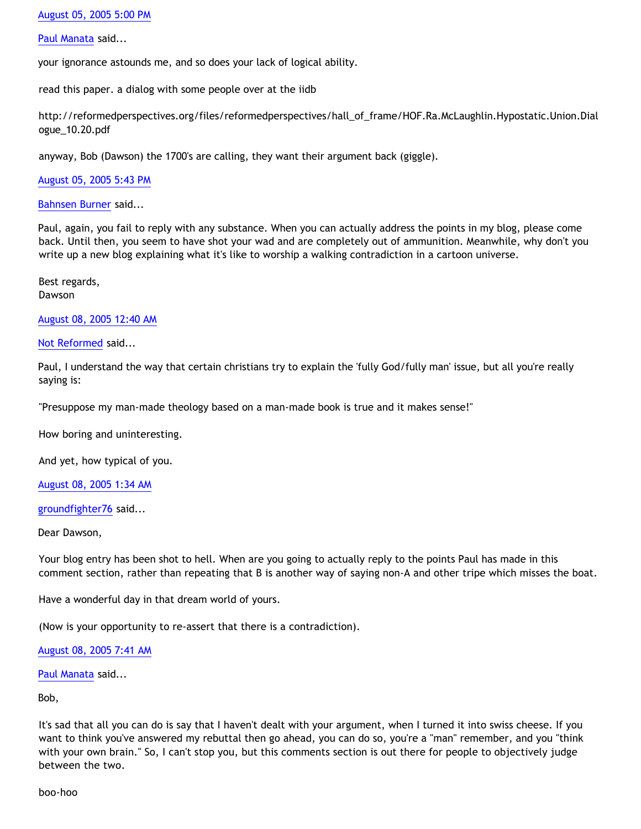# [August 05, 2005 5:00 PM](http://bahnsenburner.blogspot.com/2005/08/112328645389269094)

### [Paul Manata](http://www.blogger.com/profile/7464842) said...

your ignorance astounds me, and so does your lack of logical ability.

read this paper. a dialog with some people over at the iidb

[http://reformedperspectives.org/files/reformedperspectives/hall\\_of\\_frame/HOF.Ra.McLaughlin.Hypostatic.Union.Dial](http://reformedperspectives.org/files/reformedperspectives/hall_of_frame/HOF.Ra.McLaughlin.Hypostatic.Union.Dial) ogue\_10.20.pdf

anyway, Bob (Dawson) the 1700's are calling, they want their argument back (giggle).

[August 05, 2005 5:43 PM](http://bahnsenburner.blogspot.com/2005/08/112328902500162117)

[Bahnsen Burner](http://www.blogger.com/profile/7766918) said...

Paul, again, you fail to reply with any substance. When you can actually address the points in my blog, please come back. Until then, you seem to have shot your wad and are completely out of ammunition. Meanwhile, why don't you write up a new blog explaining what it's like to worship a walking contradiction in a cartoon universe.

Best regards, Dawson

[August 08, 2005 12:40 AM](http://bahnsenburner.blogspot.com/2005/08/112348682065624600)

### [Not Reformed](http://www.blogger.com/profile/8159639) said...

Paul, I understand the way that certain christians try to explain the 'fully God/fully man' issue, but all you're really saying is:

"Presuppose my man-made theology based on a man-made book is true and it makes sense!"

How boring and uninteresting.

And yet, how typical of you.

[August 08, 2005 1:34 AM](http://bahnsenburner.blogspot.com/2005/08/112349008779350716)

[groundfighter76](http://www.blogger.com/profile/8210797) said...

Dear Dawson,

Your blog entry has been shot to hell. When are you going to actually reply to the points Paul has made in this comment section, rather than repeating that B is another way of saying non-A and other tripe which misses the boat.

Have a wonderful day in that dream world of yours.

(Now is your opportunity to re-assert that there is a contradiction).

[August 08, 2005 7:41 AM](http://bahnsenburner.blogspot.com/2005/08/112351210871253770)

[Paul Manata](http://www.blogger.com/profile/7464842) said...

Bob,

It's sad that all you can do is say that I haven't dealt with your argument, when I turned it into swiss cheese. If you want to think you've answered my rebuttal then go ahead, you can do so, you're a "man" remember, and you "think with your own brain." So, I can't stop you, but this comments section is out there for people to objectively judge between the two.

boo-hoo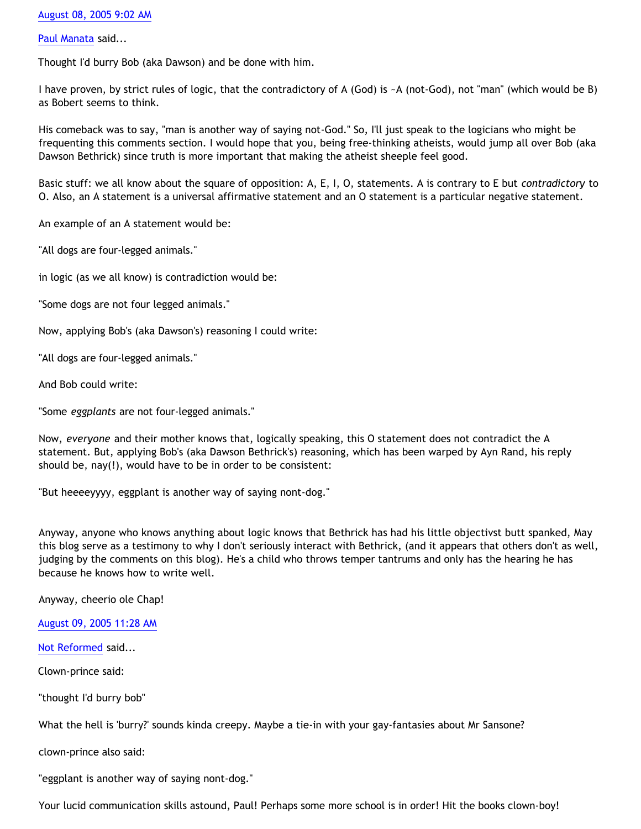## [August 08, 2005 9:02 AM](http://bahnsenburner.blogspot.com/2005/08/112351694142297968)

### [Paul Manata](http://www.blogger.com/profile/7464842) said...

Thought I'd burry Bob (aka Dawson) and be done with him.

I have proven, by strict rules of logic, that the contradictory of A (God) is ~A (not-God), not "man" (which would be B) as Bobert seems to think.

His comeback was to say, "man is another way of saying not-God." So, I'll just speak to the logicians who might be frequenting this comments section. I would hope that you, being free-thinking atheists, would jump all over Bob (aka Dawson Bethrick) since truth is more important that making the atheist sheeple feel good.

Basic stuff: we all know about the square of opposition: A, E, I, O, statements. A is contrary to E but *contradictory* to O. Also, an A statement is a universal affirmative statement and an O statement is a particular negative statement.

An example of an A statement would be:

"All dogs are four-legged animals."

in logic (as we all know) is contradiction would be:

"Some dogs are not four legged animals."

Now, applying Bob's (aka Dawson's) reasoning I could write:

"All dogs are four-legged animals."

And Bob could write:

"Some *eggplants* are not four-legged animals."

Now, *everyone* and their mother knows that, logically speaking, this O statement does not contradict the A statement. But, applying Bob's (aka Dawson Bethrick's) reasoning, which has been warped by Ayn Rand, his reply should be, nay(!), would have to be in order to be consistent:

"But heeeeyyyy, eggplant is another way of saying nont-dog."

Anyway, anyone who knows anything about logic knows that Bethrick has had his little objectivst butt spanked, May this blog serve as a testimony to why I don't seriously interact with Bethrick, (and it appears that others don't as well, judging by the comments on this blog). He's a child who throws temper tantrums and only has the hearing he has because he knows how to write well.

Anyway, cheerio ole Chap!

[August 09, 2005 11:28 AM](http://bahnsenburner.blogspot.com/2005/08/112361211252625318)

[Not Reformed](http://www.blogger.com/profile/8159639) said...

Clown-prince said:

"thought I'd burry bob"

What the hell is 'burry?' sounds kinda creepy. Maybe a tie-in with your gay-fantasies about Mr Sansone?

clown-prince also said:

"eggplant is another way of saying nont-dog."

Your lucid communication skills astound, Paul! Perhaps some more school is in order! Hit the books clown-boy!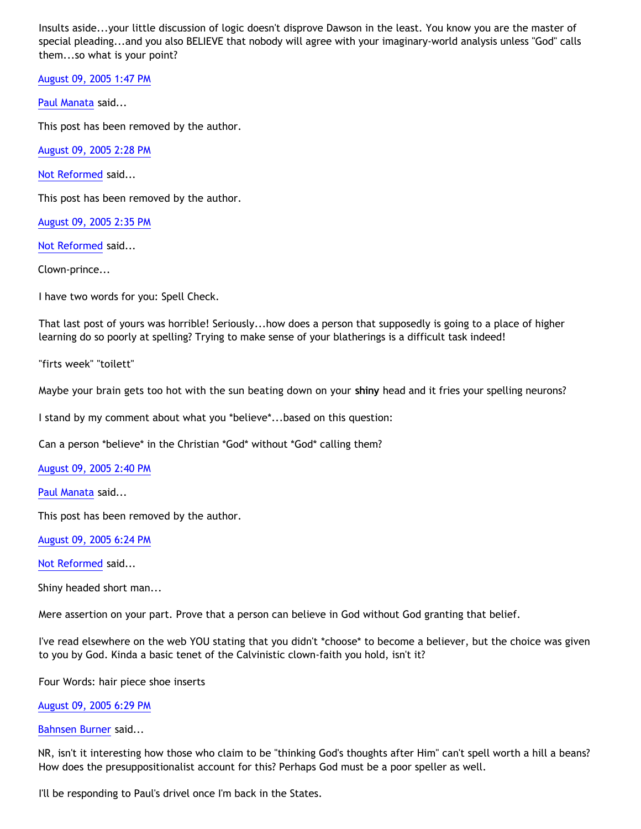Insults aside...your little discussion of logic doesn't disprove Dawson in the least. You know you are the master of special pleading...and you also BELIEVE that nobody will agree with your imaginary-world analysis unless "God" calls them...so what is your point?

[August 09, 2005 1:47 PM](http://bahnsenburner.blogspot.com/2005/08/112362047307013589)

[Paul Manata](http://www.blogger.com/profile/7464842) said...

This post has been removed by the author.

[August 09, 2005 2:28 PM](http://bahnsenburner.blogspot.com/2005/08/112362290984495916)

[Not Reformed](http://www.blogger.com/profile/8159639) said...

This post has been removed by the author.

[August 09, 2005 2:35 PM](http://bahnsenburner.blogspot.com/2005/08/112362333091553770)

[Not Reformed](http://www.blogger.com/profile/8159639) said...

Clown-prince...

I have two words for you: Spell Check.

That last post of yours was horrible! Seriously...how does a person that supposedly is going to a place of higher learning do so poorly at spelling? Trying to make sense of your blatherings is a difficult task indeed!

"firts week" "toilett"

Maybe your brain gets too hot with the sun beating down on your **shiny** head and it fries your spelling neurons?

I stand by my comment about what you \*believe\*...based on this question:

Can a person \*believe\* in the Christian \*God\* without \*God\* calling them?

[August 09, 2005 2:40 PM](http://bahnsenburner.blogspot.com/2005/08/112362360892367682)

[Paul Manata](http://www.blogger.com/profile/7464842) said...

This post has been removed by the author.

[August 09, 2005 6:24 PM](http://bahnsenburner.blogspot.com/2005/08/112363707739638623)

[Not Reformed](http://www.blogger.com/profile/8159639) said...

Shiny headed short man...

Mere assertion on your part. Prove that a person can believe in God without God granting that belief.

I've read elsewhere on the web YOU stating that you didn't \*choose\* to become a believer, but the choice was given to you by God. Kinda a basic tenet of the Calvinistic clown-faith you hold, isn't it?

Four Words: hair piece shoe inserts

### [August 09, 2005 6:29 PM](http://bahnsenburner.blogspot.com/2005/08/112363737214301704)

[Bahnsen Burner](http://www.blogger.com/profile/7766918) said...

NR, isn't it interesting how those who claim to be "thinking God's thoughts after Him" can't spell worth a hill a beans? How does the presuppositionalist account for this? Perhaps God must be a poor speller as well.

I'll be responding to Paul's drivel once I'm back in the States.